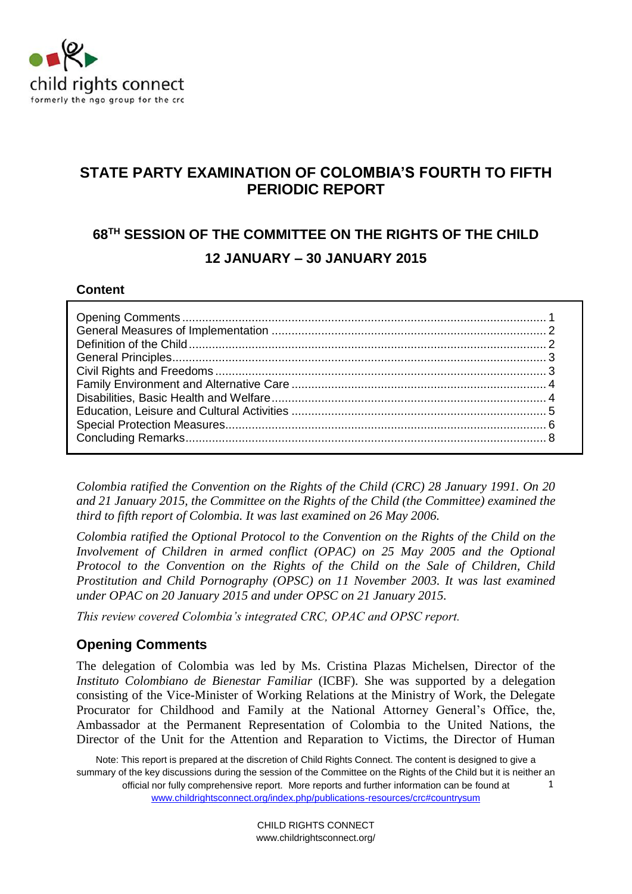

## **STATE PARTY EXAMINATION OF COLOMBIA'S FOURTH TO FIFTH PERIODIC REPORT**

# **68TH SESSION OF THE COMMITTEE ON THE RIGHTS OF THE CHILD 12 JANUARY – 30 JANUARY 2015**

#### **Content**

*Colombia ratified the Convention on the Rights of the Child (CRC) 28 January 1991. On 20 and 21 January 2015, the Committee on the Rights of the Child (the Committee) examined the third to fifth report of Colombia. It was last examined on 26 May 2006.*

*Colombia ratified the Optional Protocol to the Convention on the Rights of the Child on the Involvement of Children in armed conflict (OPAC) on 25 May 2005 and the Optional Protocol to the Convention on the Rights of the Child on the Sale of Children, Child Prostitution and Child Pornography (OPSC) on 11 November 2003. It was last examined under OPAC on 20 January 2015 and under OPSC on 21 January 2015.*

*This review covered Colombia's integrated CRC, OPAC and OPSC report.*

## <span id="page-0-0"></span>**Opening Comments**

The delegation of Colombia was led by Ms. Cristina Plazas Michelsen, Director of the *Instituto Colombiano de Bienestar Familiar* (ICBF). She was supported by a delegation consisting of the Vice-Minister of Working Relations at the Ministry of Work, the Delegate Procurator for Childhood and Family at the National Attorney General's Office, the, Ambassador at the Permanent Representation of Colombia to the United Nations, the Director of the Unit for the Attention and Reparation to Victims, the Director of Human

Note: This report is prepared at the discretion of Child Rights Connect. The content is designed to give a summary of the key discussions during the session of the Committee on the Rights of the Child but it is neither an official nor fully comprehensive report. More reports and further information can be found at [www.childrightsconnect.org/index.php/publications-resources/crc#countrysum](http://www.childrightsconnect.org/index.php/publications-resources/crc#countrysum) 1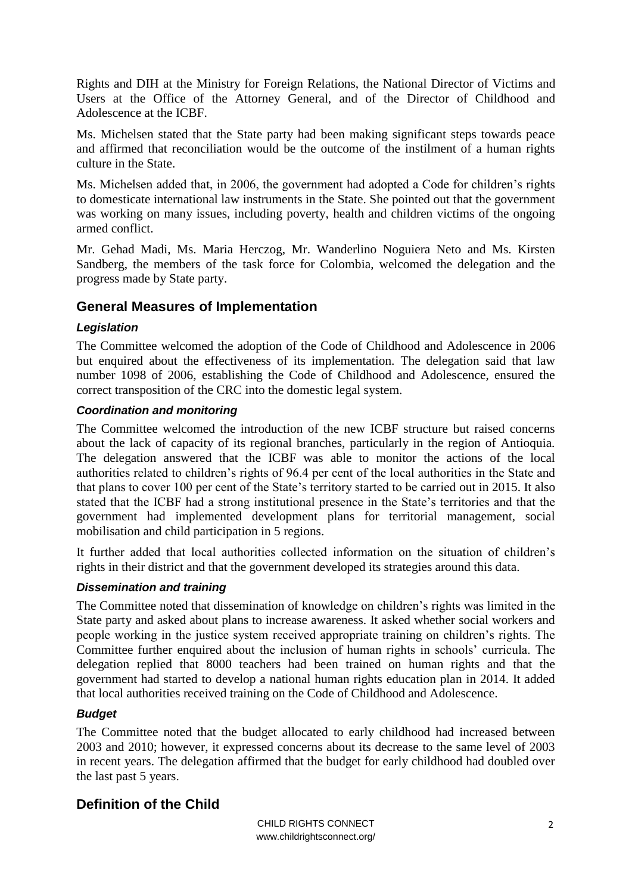Rights and DIH at the Ministry for Foreign Relations, the National Director of Victims and Users at the Office of the Attorney General, and of the Director of Childhood and Adolescence at the ICBF.

Ms. Michelsen stated that the State party had been making significant steps towards peace and affirmed that reconciliation would be the outcome of the instilment of a human rights culture in the State.

Ms. Michelsen added that, in 2006, the government had adopted a Code for children's rights to domesticate international law instruments in the State. She pointed out that the government was working on many issues, including poverty, health and children victims of the ongoing armed conflict.

Mr. Gehad Madi, Ms. Maria Herczog, Mr. Wanderlino Noguiera Neto and Ms. Kirsten Sandberg, the members of the task force for Colombia, welcomed the delegation and the progress made by State party.

## <span id="page-1-0"></span>**General Measures of Implementation**

## *Legislation*

The Committee welcomed the adoption of the Code of Childhood and Adolescence in 2006 but enquired about the effectiveness of its implementation. The delegation said that law number 1098 of 2006, establishing the Code of Childhood and Adolescence, ensured the correct transposition of the CRC into the domestic legal system.

## *Coordination and monitoring*

The Committee welcomed the introduction of the new ICBF structure but raised concerns about the lack of capacity of its regional branches, particularly in the region of Antioquia. The delegation answered that the ICBF was able to monitor the actions of the local authorities related to children's rights of 96.4 per cent of the local authorities in the State and that plans to cover 100 per cent of the State's territory started to be carried out in 2015. It also stated that the ICBF had a strong institutional presence in the State's territories and that the government had implemented development plans for territorial management, social mobilisation and child participation in 5 regions.

It further added that local authorities collected information on the situation of children's rights in their district and that the government developed its strategies around this data.

## *Dissemination and training*

The Committee noted that dissemination of knowledge on children's rights was limited in the State party and asked about plans to increase awareness. It asked whether social workers and people working in the justice system received appropriate training on children's rights. The Committee further enquired about the inclusion of human rights in schools' curricula. The delegation replied that 8000 teachers had been trained on human rights and that the government had started to develop a national human rights education plan in 2014. It added that local authorities received training on the Code of Childhood and Adolescence.

## *Budget*

The Committee noted that the budget allocated to early childhood had increased between 2003 and 2010; however, it expressed concerns about its decrease to the same level of 2003 in recent years. The delegation affirmed that the budget for early childhood had doubled over the last past 5 years.

## <span id="page-1-1"></span>**Definition of the Child**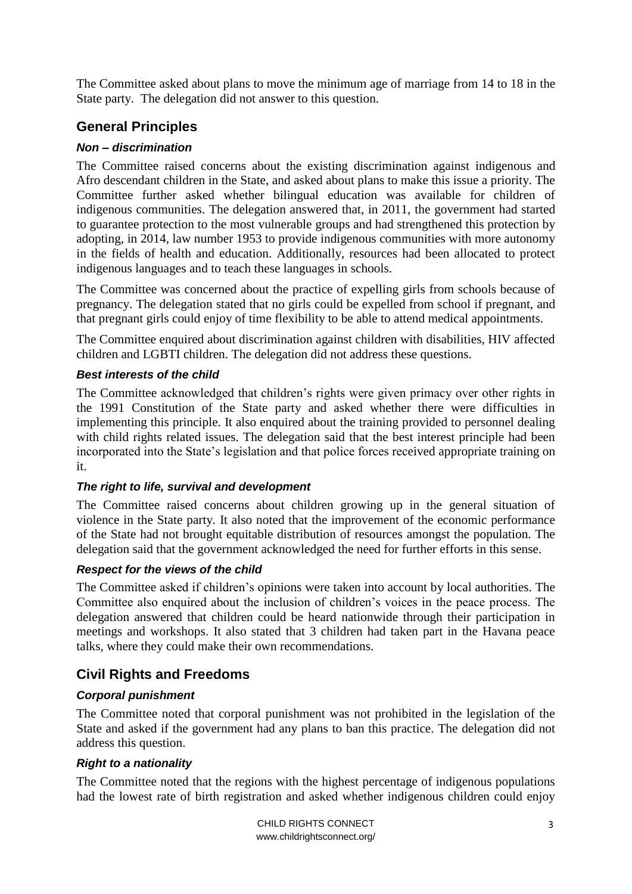The Committee asked about plans to move the minimum age of marriage from 14 to 18 in the State party. The delegation did not answer to this question.

## <span id="page-2-0"></span>**General Principles**

## *Non – discrimination*

The Committee raised concerns about the existing discrimination against indigenous and Afro descendant children in the State, and asked about plans to make this issue a priority. The Committee further asked whether bilingual education was available for children of indigenous communities. The delegation answered that, in 2011, the government had started to guarantee protection to the most vulnerable groups and had strengthened this protection by adopting, in 2014, law number 1953 to provide indigenous communities with more autonomy in the fields of health and education. Additionally, resources had been allocated to protect indigenous languages and to teach these languages in schools.

The Committee was concerned about the practice of expelling girls from schools because of pregnancy. The delegation stated that no girls could be expelled from school if pregnant, and that pregnant girls could enjoy of time flexibility to be able to attend medical appointments.

The Committee enquired about discrimination against children with disabilities, HIV affected children and LGBTI children. The delegation did not address these questions.

## *Best interests of the child*

The Committee acknowledged that children's rights were given primacy over other rights in the 1991 Constitution of the State party and asked whether there were difficulties in implementing this principle. It also enquired about the training provided to personnel dealing with child rights related issues. The delegation said that the best interest principle had been incorporated into the State's legislation and that police forces received appropriate training on it.

## *The right to life, survival and development*

The Committee raised concerns about children growing up in the general situation of violence in the State party. It also noted that the improvement of the economic performance of the State had not brought equitable distribution of resources amongst the population. The delegation said that the government acknowledged the need for further efforts in this sense.

## *Respect for the views of the child*

The Committee asked if children's opinions were taken into account by local authorities. The Committee also enquired about the inclusion of children's voices in the peace process. The delegation answered that children could be heard nationwide through their participation in meetings and workshops. It also stated that 3 children had taken part in the Havana peace talks, where they could make their own recommendations.

## <span id="page-2-1"></span>**Civil Rights and Freedoms**

## *Corporal punishment*

The Committee noted that corporal punishment was not prohibited in the legislation of the State and asked if the government had any plans to ban this practice. The delegation did not address this question.

## *Right to a nationality*

The Committee noted that the regions with the highest percentage of indigenous populations had the lowest rate of birth registration and asked whether indigenous children could enjoy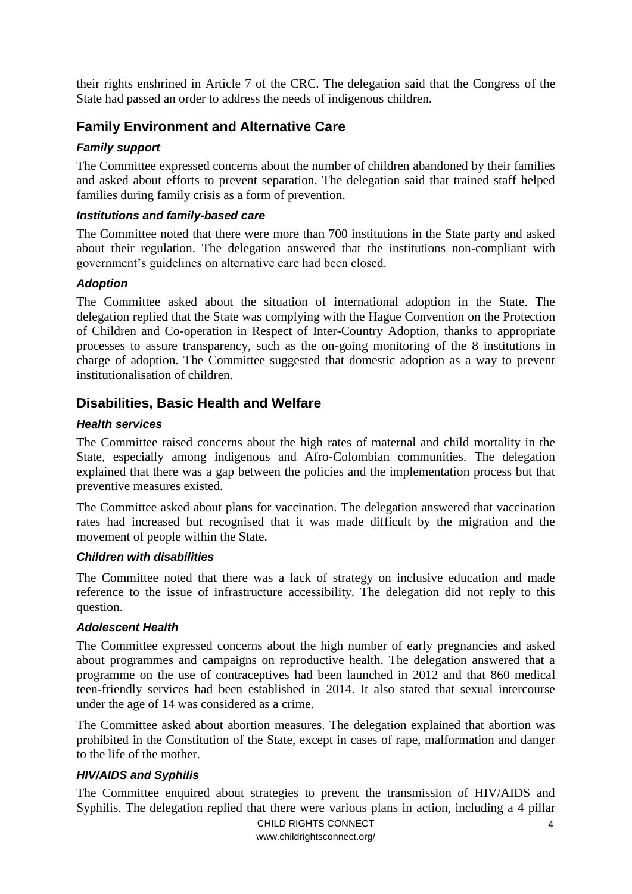their rights enshrined in Article 7 of the CRC. The delegation said that the Congress of the State had passed an order to address the needs of indigenous children.

## <span id="page-3-0"></span>**Family Environment and Alternative Care**

## *Family support*

The Committee expressed concerns about the number of children abandoned by their families and asked about efforts to prevent separation. The delegation said that trained staff helped families during family crisis as a form of prevention.

#### *Institutions and family-based care*

The Committee noted that there were more than 700 institutions in the State party and asked about their regulation. The delegation answered that the institutions non-compliant with government's guidelines on alternative care had been closed.

## *Adoption*

The Committee asked about the situation of international adoption in the State. The delegation replied that the State was complying with the Hague Convention on the Protection of Children and Co-operation in Respect of Inter-Country Adoption, thanks to appropriate processes to assure transparency, such as the on-going monitoring of the 8 institutions in charge of adoption. The Committee suggested that domestic adoption as a way to prevent institutionalisation of children.

## <span id="page-3-1"></span>**Disabilities, Basic Health and Welfare**

## *Health services*

The Committee raised concerns about the high rates of maternal and child mortality in the State, especially among indigenous and Afro-Colombian communities. The delegation explained that there was a gap between the policies and the implementation process but that preventive measures existed.

The Committee asked about plans for vaccination. The delegation answered that vaccination rates had increased but recognised that it was made difficult by the migration and the movement of people within the State.

#### *Children with disabilities*

The Committee noted that there was a lack of strategy on inclusive education and made reference to the issue of infrastructure accessibility. The delegation did not reply to this question.

#### *Adolescent Health*

The Committee expressed concerns about the high number of early pregnancies and asked about programmes and campaigns on reproductive health. The delegation answered that a programme on the use of contraceptives had been launched in 2012 and that 860 medical teen-friendly services had been established in 2014. It also stated that sexual intercourse under the age of 14 was considered as a crime.

The Committee asked about abortion measures. The delegation explained that abortion was prohibited in the Constitution of the State, except in cases of rape, malformation and danger to the life of the mother.

## *HIV/AIDS and Syphilis*

The Committee enquired about strategies to prevent the transmission of HIV/AIDS and Syphilis. The delegation replied that there were various plans in action, including a 4 pillar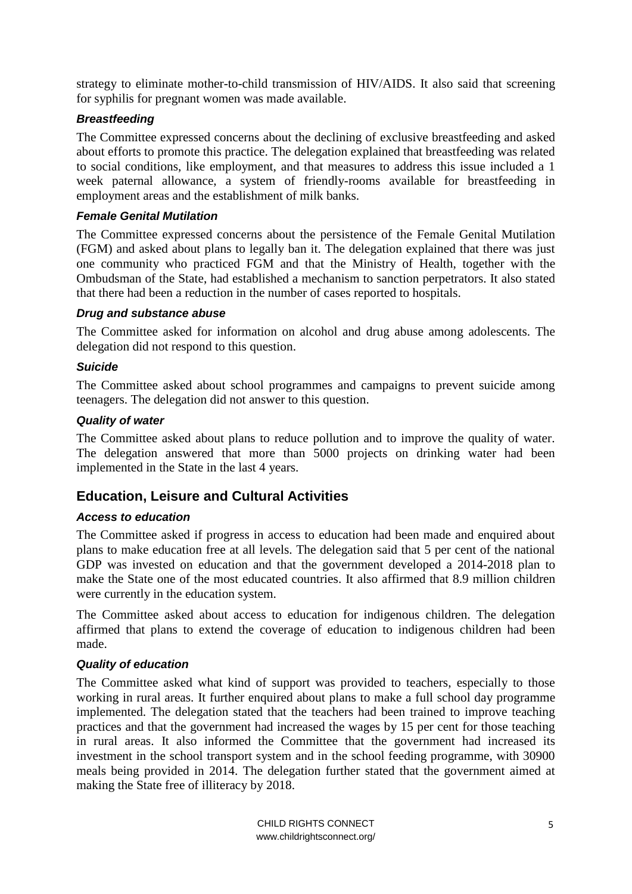strategy to eliminate mother-to-child transmission of HIV/AIDS. It also said that screening for syphilis for pregnant women was made available.

## *Breastfeeding*

The Committee expressed concerns about the declining of exclusive breastfeeding and asked about efforts to promote this practice. The delegation explained that breastfeeding was related to social conditions, like employment, and that measures to address this issue included a 1 week paternal allowance, a system of friendly-rooms available for breastfeeding in employment areas and the establishment of milk banks.

#### *Female Genital Mutilation*

The Committee expressed concerns about the persistence of the Female Genital Mutilation (FGM) and asked about plans to legally ban it. The delegation explained that there was just one community who practiced FGM and that the Ministry of Health, together with the Ombudsman of the State, had established a mechanism to sanction perpetrators. It also stated that there had been a reduction in the number of cases reported to hospitals.

#### *Drug and substance abuse*

The Committee asked for information on alcohol and drug abuse among adolescents. The delegation did not respond to this question.

#### *Suicide*

The Committee asked about school programmes and campaigns to prevent suicide among teenagers. The delegation did not answer to this question.

#### *Quality of water*

The Committee asked about plans to reduce pollution and to improve the quality of water. The delegation answered that more than 5000 projects on drinking water had been implemented in the State in the last 4 years.

## <span id="page-4-0"></span>**Education, Leisure and Cultural Activities**

## *Access to education*

The Committee asked if progress in access to education had been made and enquired about plans to make education free at all levels. The delegation said that 5 per cent of the national GDP was invested on education and that the government developed a 2014-2018 plan to make the State one of the most educated countries. It also affirmed that 8.9 million children were currently in the education system.

The Committee asked about access to education for indigenous children. The delegation affirmed that plans to extend the coverage of education to indigenous children had been made.

## *Quality of education*

The Committee asked what kind of support was provided to teachers, especially to those working in rural areas. It further enquired about plans to make a full school day programme implemented. The delegation stated that the teachers had been trained to improve teaching practices and that the government had increased the wages by 15 per cent for those teaching in rural areas. It also informed the Committee that the government had increased its investment in the school transport system and in the school feeding programme, with 30900 meals being provided in 2014. The delegation further stated that the government aimed at making the State free of illiteracy by 2018.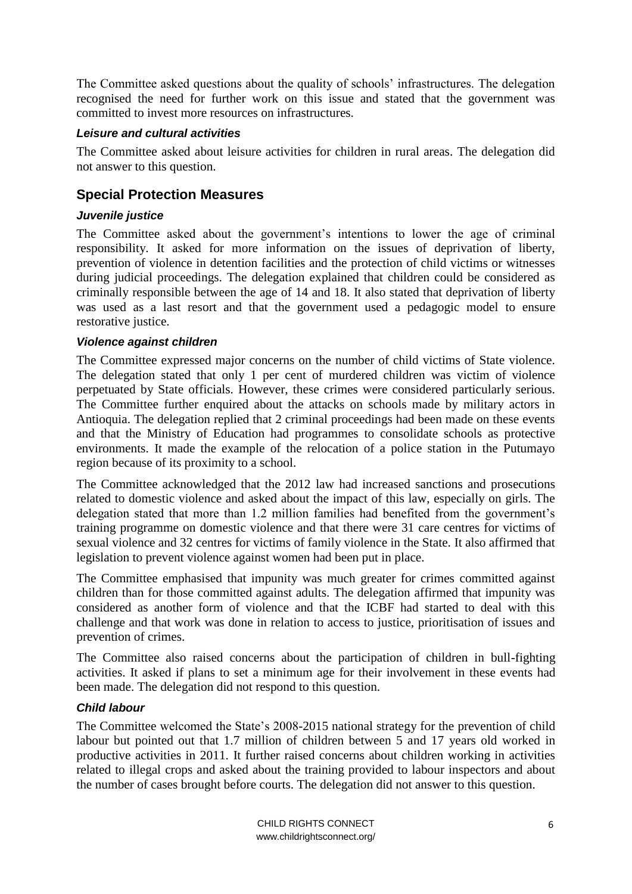The Committee asked questions about the quality of schools' infrastructures. The delegation recognised the need for further work on this issue and stated that the government was committed to invest more resources on infrastructures.

#### *Leisure and cultural activities*

The Committee asked about leisure activities for children in rural areas. The delegation did not answer to this question.

## <span id="page-5-0"></span>**Special Protection Measures**

#### *Juvenile justice*

The Committee asked about the government's intentions to lower the age of criminal responsibility. It asked for more information on the issues of deprivation of liberty, prevention of violence in detention facilities and the protection of child victims or witnesses during judicial proceedings. The delegation explained that children could be considered as criminally responsible between the age of 14 and 18. It also stated that deprivation of liberty was used as a last resort and that the government used a pedagogic model to ensure restorative justice.

#### *Violence against children*

The Committee expressed major concerns on the number of child victims of State violence. The delegation stated that only 1 per cent of murdered children was victim of violence perpetuated by State officials. However, these crimes were considered particularly serious. The Committee further enquired about the attacks on schools made by military actors in Antioquia. The delegation replied that 2 criminal proceedings had been made on these events and that the Ministry of Education had programmes to consolidate schools as protective environments. It made the example of the relocation of a police station in the Putumayo region because of its proximity to a school.

The Committee acknowledged that the 2012 law had increased sanctions and prosecutions related to domestic violence and asked about the impact of this law, especially on girls. The delegation stated that more than 1.2 million families had benefited from the government's training programme on domestic violence and that there were 31 care centres for victims of sexual violence and 32 centres for victims of family violence in the State. It also affirmed that legislation to prevent violence against women had been put in place.

The Committee emphasised that impunity was much greater for crimes committed against children than for those committed against adults. The delegation affirmed that impunity was considered as another form of violence and that the ICBF had started to deal with this challenge and that work was done in relation to access to justice, prioritisation of issues and prevention of crimes.

The Committee also raised concerns about the participation of children in bull-fighting activities. It asked if plans to set a minimum age for their involvement in these events had been made. The delegation did not respond to this question.

#### *Child labour*

The Committee welcomed the State's 2008-2015 national strategy for the prevention of child labour but pointed out that 1.7 million of children between 5 and 17 years old worked in productive activities in 2011. It further raised concerns about children working in activities related to illegal crops and asked about the training provided to labour inspectors and about the number of cases brought before courts. The delegation did not answer to this question.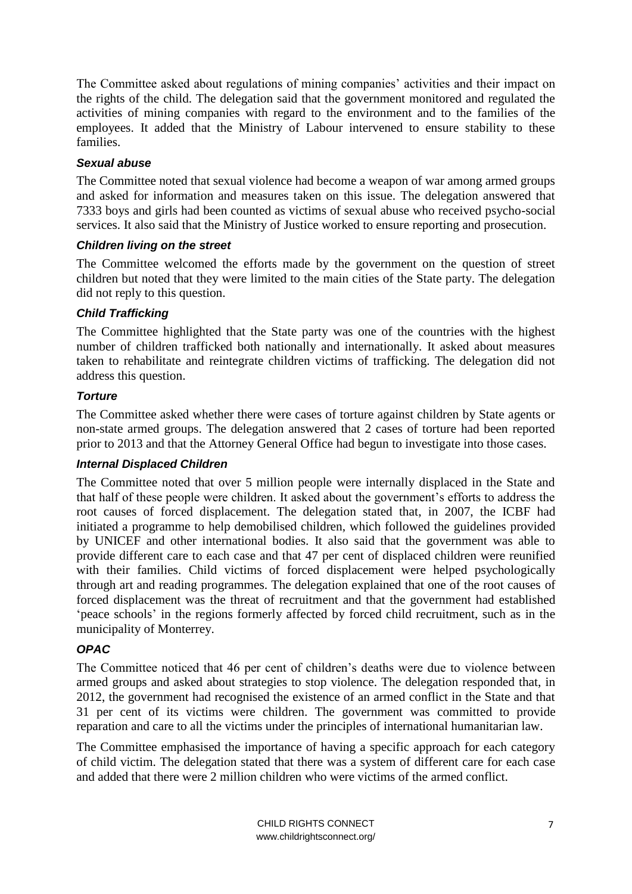The Committee asked about regulations of mining companies' activities and their impact on the rights of the child. The delegation said that the government monitored and regulated the activities of mining companies with regard to the environment and to the families of the employees. It added that the Ministry of Labour intervened to ensure stability to these families.

## *Sexual abuse*

The Committee noted that sexual violence had become a weapon of war among armed groups and asked for information and measures taken on this issue. The delegation answered that 7333 boys and girls had been counted as victims of sexual abuse who received psycho-social services. It also said that the Ministry of Justice worked to ensure reporting and prosecution.

#### *Children living on the street*

The Committee welcomed the efforts made by the government on the question of street children but noted that they were limited to the main cities of the State party. The delegation did not reply to this question.

## *Child Trafficking*

The Committee highlighted that the State party was one of the countries with the highest number of children trafficked both nationally and internationally. It asked about measures taken to rehabilitate and reintegrate children victims of trafficking. The delegation did not address this question.

#### *Torture*

The Committee asked whether there were cases of torture against children by State agents or non-state armed groups. The delegation answered that 2 cases of torture had been reported prior to 2013 and that the Attorney General Office had begun to investigate into those cases.

#### *Internal Displaced Children*

The Committee noted that over 5 million people were internally displaced in the State and that half of these people were children. It asked about the government's efforts to address the root causes of forced displacement. The delegation stated that, in 2007, the ICBF had initiated a programme to help demobilised children, which followed the guidelines provided by UNICEF and other international bodies. It also said that the government was able to provide different care to each case and that 47 per cent of displaced children were reunified with their families. Child victims of forced displacement were helped psychologically through art and reading programmes. The delegation explained that one of the root causes of forced displacement was the threat of recruitment and that the government had established 'peace schools' in the regions formerly affected by forced child recruitment, such as in the municipality of Monterrey.

## *OPAC*

The Committee noticed that 46 per cent of children's deaths were due to violence between armed groups and asked about strategies to stop violence. The delegation responded that, in 2012, the government had recognised the existence of an armed conflict in the State and that 31 per cent of its victims were children. The government was committed to provide reparation and care to all the victims under the principles of international humanitarian law.

The Committee emphasised the importance of having a specific approach for each category of child victim. The delegation stated that there was a system of different care for each case and added that there were 2 million children who were victims of the armed conflict.